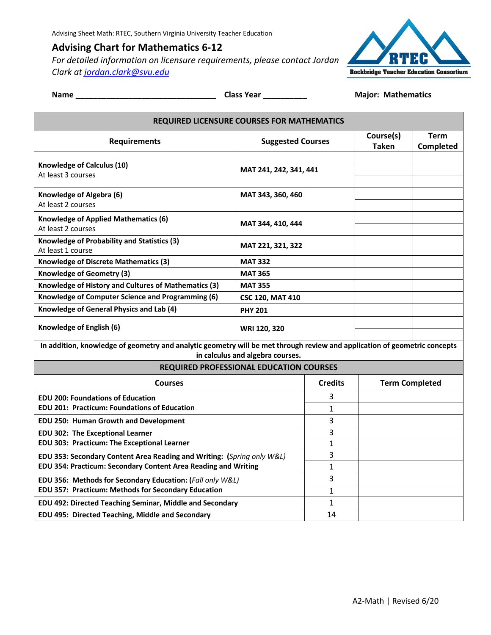# **Advising Chart for Mathematics 6-12**

*For detailed information on licensure requirements, please contact Jordan Clark at jordan.clark@svu.edu*



# **Name \_\_\_\_\_\_\_\_\_\_\_\_\_\_\_\_\_\_\_\_\_\_\_\_\_\_\_\_\_\_\_\_ Class Year \_\_\_\_\_\_\_\_\_\_ Major: Mathematics**

| <b>REQUIRED LICENSURE COURSES FOR MATHEMATICS</b>                                                                         |                          |                |                       |           |
|---------------------------------------------------------------------------------------------------------------------------|--------------------------|----------------|-----------------------|-----------|
|                                                                                                                           |                          |                | Course(s)             | Term      |
| <b>Requirements</b>                                                                                                       | <b>Suggested Courses</b> |                | <b>Taken</b>          | Completed |
| Knowledge of Calculus (10)                                                                                                |                          |                |                       |           |
| At least 3 courses                                                                                                        | MAT 241, 242, 341, 441   |                |                       |           |
|                                                                                                                           |                          |                |                       |           |
| Knowledge of Algebra (6)                                                                                                  | MAT 343, 360, 460        |                |                       |           |
| At least 2 courses                                                                                                        |                          |                |                       |           |
| <b>Knowledge of Applied Mathematics (6)</b>                                                                               | MAT 344, 410, 444        |                |                       |           |
| At least 2 courses                                                                                                        |                          |                |                       |           |
| Knowledge of Probability and Statistics (3)<br>At least 1 course                                                          | MAT 221, 321, 322        |                |                       |           |
| <b>Knowledge of Discrete Mathematics (3)</b>                                                                              | <b>MAT 332</b>           |                |                       |           |
| Knowledge of Geometry (3)                                                                                                 | <b>MAT 365</b>           |                |                       |           |
| Knowledge of History and Cultures of Mathematics (3)                                                                      | <b>MAT 355</b>           |                |                       |           |
| Knowledge of Computer Science and Programming (6)                                                                         | <b>CSC 120, MAT 410</b>  |                |                       |           |
| Knowledge of General Physics and Lab (4)                                                                                  | <b>PHY 201</b>           |                |                       |           |
| Knowledge of English (6)                                                                                                  | WRI 120, 320             |                |                       |           |
| In addition, knowledge of geometry and analytic geometry will be met through review and application of geometric concepts |                          |                |                       |           |
| in calculus and algebra courses.                                                                                          |                          |                |                       |           |
| <b>REQUIRED PROFESSIONAL EDUCATION COURSES</b>                                                                            |                          |                |                       |           |
| <b>Courses</b>                                                                                                            |                          | <b>Credits</b> | <b>Term Completed</b> |           |
| <b>EDU 200: Foundations of Education</b>                                                                                  |                          | 3              |                       |           |
| <b>EDU 201: Practicum: Foundations of Education</b>                                                                       |                          | $\mathbf{1}$   |                       |           |
| EDU 250: Human Growth and Development                                                                                     |                          | 3              |                       |           |
| <b>EDU 302: The Exceptional Learner</b>                                                                                   |                          | 3              |                       |           |
| EDU 303: Practicum: The Exceptional Learner                                                                               |                          | $\mathbf{1}$   |                       |           |
| EDU 353: Secondary Content Area Reading and Writing: (Spring only W&L)                                                    |                          | 3              |                       |           |
| EDU 354: Practicum: Secondary Content Area Reading and Writing                                                            |                          | $\mathbf{1}$   |                       |           |
| EDU 356: Methods for Secondary Education: (Fall only W&L)                                                                 |                          | 3              |                       |           |
| EDU 357: Practicum: Methods for Secondary Education                                                                       |                          | $\mathbf{1}$   |                       |           |
| EDU 492: Directed Teaching Seminar, Middle and Secondary                                                                  |                          | 1              |                       |           |
| EDU 495: Directed Teaching, Middle and Secondary                                                                          |                          | 14             |                       |           |